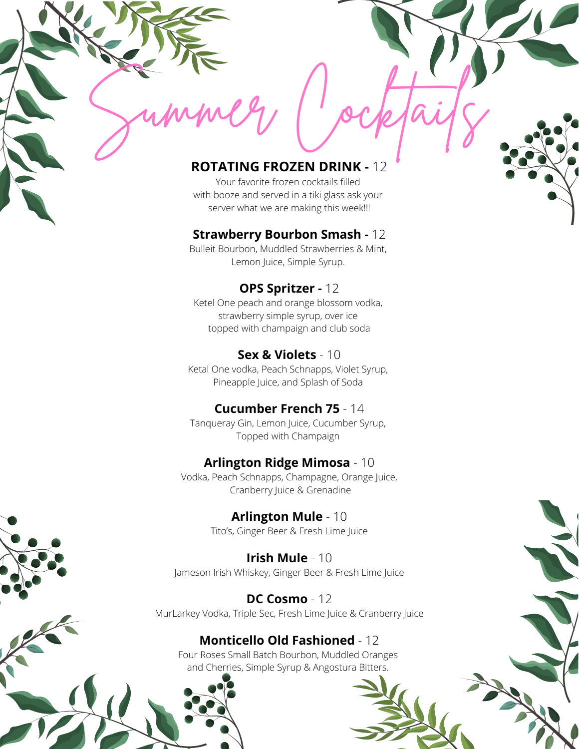# **ROTATING FROZEN DRINK -** 12

Summer Cocktails

Your favorite frozen cocktails filled with booze and served in a tiki glass ask your server what we are making this week!!!

#### **Strawberry Bourbon Smash -** 12

Bulleit Bourbon, Muddled Strawberries & Mint, Lemon Juice, Simple Syrup.

## **OPS Spritzer -** 12

Ketel One peach and orange blossom vodka, strawberry simple syrup, over ice topped with champaign and club soda

## **Sex & Violets** - 10

Ketal One vodka, Peach Schnapps, Violet Syrup, Pineapple Juice, and Splash of Soda

## **Cucumber French 75** - 14

Tanqueray Gin, Lemon Juice, Cucumber Syrup, Topped with Champaign

### **Arlington Ridge Mimosa** - 10

Vodka, Peach Schnapps, Champagne, Orange Juice, Cranberry Juice & Grenadine

> **Arlington Mule** - 10 Tito's, Ginger Beer & Fresh Lime Juice

**Irish Mule** - 10 Jameson Irish Whiskey, Ginger Beer & Fresh Lime Juice

**DC Cosmo** - 12 MurLarkey Vodka, Triple Sec, Fresh Lime Juice & Cranberry Juice

# **Monticello Old Fashioned** - 12

Four Roses Small Batch Bourbon, Muddled Oranges and Cherries, Simple Syrup & Angostura Bitters.